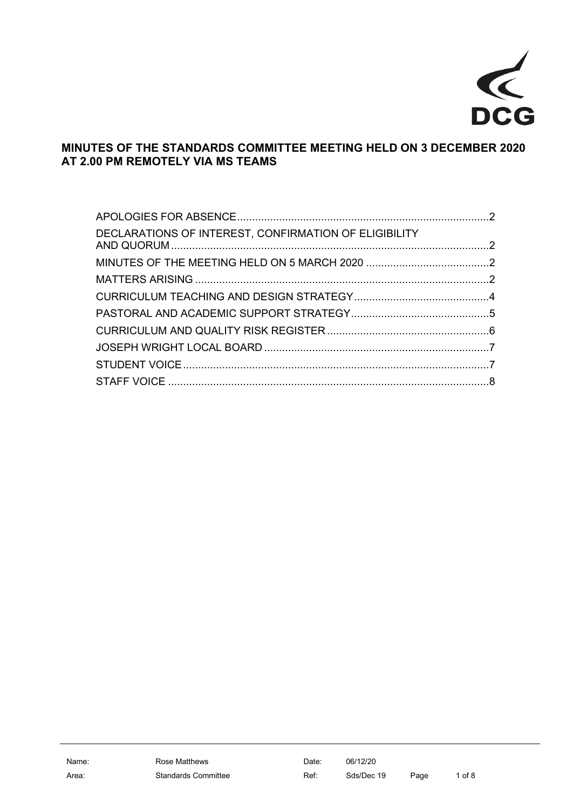

## **MINUTES OF THE STANDARDS COMMITTEE MEETING HELD ON 3 DECEMBER 2020 AT 2.00 PM REMOTELY VIA MS TEAMS**

| DECLARATIONS OF INTEREST, CONFIRMATION OF ELIGIBILITY |  |
|-------------------------------------------------------|--|
|                                                       |  |
|                                                       |  |
|                                                       |  |
|                                                       |  |
|                                                       |  |
|                                                       |  |
|                                                       |  |
|                                                       |  |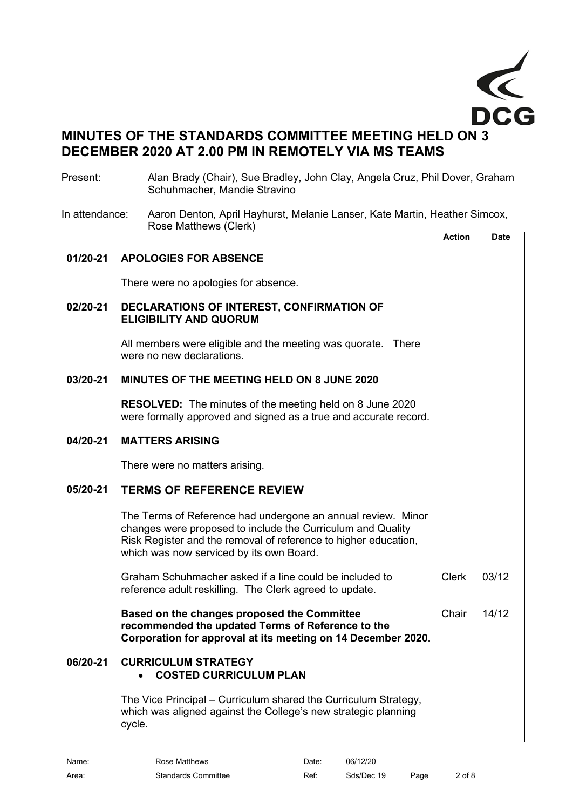

# **MINUTES OF THE STANDARDS COMMITTEE MEETING HELD ON 3 DECEMBER 2020 AT 2.00 PM IN REMOTELY VIA MS TEAMS**

<span id="page-1-3"></span><span id="page-1-2"></span><span id="page-1-1"></span><span id="page-1-0"></span>

| Present:       | Alan Brady (Chair), Sue Bradley, John Clay, Angela Cruz, Phil Dover, Graham<br>Schuhmacher, Mandie Stravino                                                                                                                                |               |             |
|----------------|--------------------------------------------------------------------------------------------------------------------------------------------------------------------------------------------------------------------------------------------|---------------|-------------|
| In attendance: | Aaron Denton, April Hayhurst, Melanie Lanser, Kate Martin, Heather Simcox,<br>Rose Matthews (Clerk)                                                                                                                                        |               |             |
|                |                                                                                                                                                                                                                                            | <b>Action</b> | <b>Date</b> |
| 01/20-21       | <b>APOLOGIES FOR ABSENCE</b>                                                                                                                                                                                                               |               |             |
|                | There were no apologies for absence.                                                                                                                                                                                                       |               |             |
| 02/20-21       | DECLARATIONS OF INTEREST, CONFIRMATION OF<br><b>ELIGIBILITY AND QUORUM</b>                                                                                                                                                                 |               |             |
|                | All members were eligible and the meeting was quorate. There<br>were no new declarations.                                                                                                                                                  |               |             |
| 03/20-21       | <b>MINUTES OF THE MEETING HELD ON 8 JUNE 2020</b>                                                                                                                                                                                          |               |             |
|                | <b>RESOLVED:</b> The minutes of the meeting held on 8 June 2020<br>were formally approved and signed as a true and accurate record.                                                                                                        |               |             |
| 04/20-21       | <b>MATTERS ARISING</b>                                                                                                                                                                                                                     |               |             |
|                | There were no matters arising.                                                                                                                                                                                                             |               |             |
| 05/20-21       | <b>TERMS OF REFERENCE REVIEW</b>                                                                                                                                                                                                           |               |             |
|                | The Terms of Reference had undergone an annual review. Minor<br>changes were proposed to include the Curriculum and Quality<br>Risk Register and the removal of reference to higher education,<br>which was now serviced by its own Board. |               |             |
|                | Graham Schuhmacher asked if a line could be included to<br>reference adult reskilling. The Clerk agreed to update.                                                                                                                         | <b>Clerk</b>  | 03/12       |
|                | Based on the changes proposed the Committee<br>recommended the updated Terms of Reference to the<br>Corporation for approval at its meeting on 14 December 2020.                                                                           | Chair         | 14/12       |
| 06/20-21       | <b>CURRICULUM STRATEGY</b><br><b>COSTED CURRICULUM PLAN</b>                                                                                                                                                                                |               |             |
|                | The Vice Principal – Curriculum shared the Curriculum Strategy,<br>which was aligned against the College's new strategic planning<br>cycle.                                                                                                |               |             |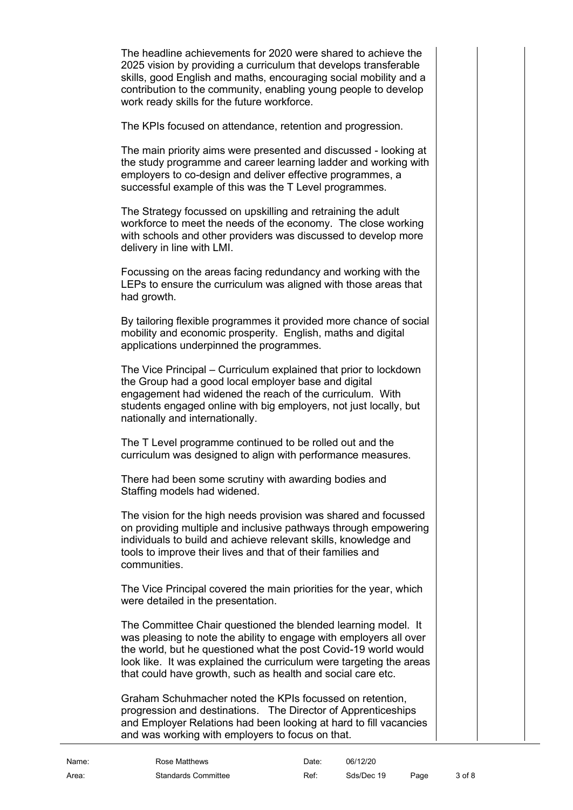The headline achievements for 2020 were shared to achieve the 2025 vision by providing a curriculum that develops transferable skills, good English and maths, encouraging social mobility and a contribution to the community, enabling young people to develop work ready skills for the future workforce.

The KPIs focused on attendance, retention and progression.

The main priority aims were presented and discussed - looking at the study programme and career learning ladder and working with employers to co-design and deliver effective programmes, a successful example of this was the T Level programmes.

The Strategy focussed on upskilling and retraining the adult workforce to meet the needs of the economy. The close working with schools and other providers was discussed to develop more delivery in line with LMI.

Focussing on the areas facing redundancy and working with the LEPs to ensure the curriculum was aligned with those areas that had growth.

By tailoring flexible programmes it provided more chance of social mobility and economic prosperity. English, maths and digital applications underpinned the programmes.

The Vice Principal – Curriculum explained that prior to lockdown the Group had a good local employer base and digital engagement had widened the reach of the curriculum. With students engaged online with big employers, not just locally, but nationally and internationally.

The T Level programme continued to be rolled out and the curriculum was designed to align with performance measures.

There had been some scrutiny with awarding bodies and Staffing models had widened.

The vision for the high needs provision was shared and focussed on providing multiple and inclusive pathways through empowering individuals to build and achieve relevant skills, knowledge and tools to improve their lives and that of their families and communities.

The Vice Principal covered the main priorities for the year, which were detailed in the presentation.

The Committee Chair questioned the blended learning model. It was pleasing to note the ability to engage with employers all over the world, but he questioned what the post Covid-19 world would look like. It was explained the curriculum were targeting the areas that could have growth, such as health and social care etc.

Graham Schuhmacher noted the KPIs focussed on retention, progression and destinations. The Director of Apprenticeships and Employer Relations had been looking at hard to fill vacancies and was working with employers to focus on that.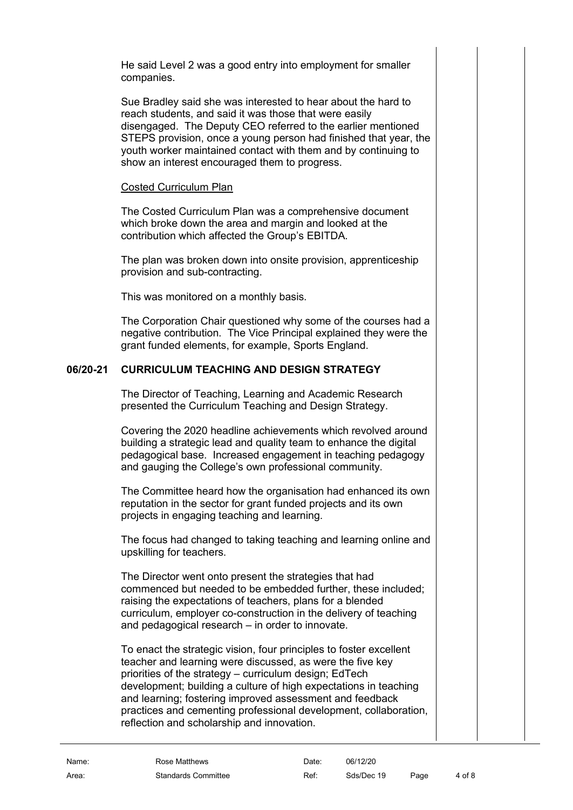He said Level 2 was a good entry into employment for smaller companies.

Sue Bradley said she was interested to hear about the hard to reach students, and said it was those that were easily disengaged. The Deputy CEO referred to the earlier mentioned STEPS provision, once a young person had finished that year, the youth worker maintained contact with them and by continuing to show an interest encouraged them to progress.

#### Costed Curriculum Plan

The Costed Curriculum Plan was a comprehensive document which broke down the area and margin and looked at the contribution which affected the Group's EBITDA.

The plan was broken down into onsite provision, apprenticeship provision and sub-contracting.

This was monitored on a monthly basis.

The Corporation Chair questioned why some of the courses had a negative contribution. The Vice Principal explained they were the grant funded elements, for example, Sports England.

## **06/20-21 CURRICULUM TEACHING AND DESIGN STRATEGY**

<span id="page-3-0"></span>The Director of Teaching, Learning and Academic Research presented the Curriculum Teaching and Design Strategy.

Covering the 2020 headline achievements which revolved around building a strategic lead and quality team to enhance the digital pedagogical base. Increased engagement in teaching pedagogy and gauging the College's own professional community.

The Committee heard how the organisation had enhanced its own reputation in the sector for grant funded projects and its own projects in engaging teaching and learning.

The focus had changed to taking teaching and learning online and upskilling for teachers.

The Director went onto present the strategies that had commenced but needed to be embedded further, these included; raising the expectations of teachers, plans for a blended curriculum, employer co-construction in the delivery of teaching and pedagogical research – in order to innovate.

To enact the strategic vision, four principles to foster excellent teacher and learning were discussed, as were the five key priorities of the strategy – curriculum design; EdTech development; building a culture of high expectations in teaching and learning; fostering improved assessment and feedback practices and cementing professional development, collaboration, reflection and scholarship and innovation.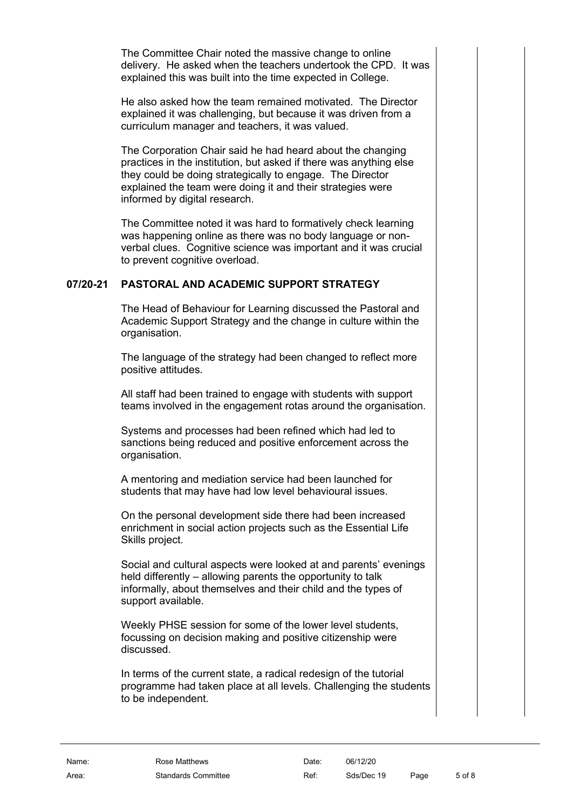The Committee Chair noted the massive change to online delivery. He asked when the teachers undertook the CPD. It was explained this was built into the time expected in College.

He also asked how the team remained motivated. The Director explained it was challenging, but because it was driven from a curriculum manager and teachers, it was valued.

The Corporation Chair said he had heard about the changing practices in the institution, but asked if there was anything else they could be doing strategically to engage. The Director explained the team were doing it and their strategies were informed by digital research.

The Committee noted it was hard to formatively check learning was happening online as there was no body language or nonverbal clues. Cognitive science was important and it was crucial to prevent cognitive overload.

## **07/20-21 PASTORAL AND ACADEMIC SUPPORT STRATEGY**

<span id="page-4-0"></span>The Head of Behaviour for Learning discussed the Pastoral and Academic Support Strategy and the change in culture within the organisation.

The language of the strategy had been changed to reflect more positive attitudes.

All staff had been trained to engage with students with support teams involved in the engagement rotas around the organisation.

Systems and processes had been refined which had led to sanctions being reduced and positive enforcement across the organisation.

A mentoring and mediation service had been launched for students that may have had low level behavioural issues.

On the personal development side there had been increased enrichment in social action projects such as the Essential Life Skills project.

Social and cultural aspects were looked at and parents' evenings held differently – allowing parents the opportunity to talk informally, about themselves and their child and the types of support available.

Weekly PHSE session for some of the lower level students, focussing on decision making and positive citizenship were discussed.

In terms of the current state, a radical redesign of the tutorial programme had taken place at all levels. Challenging the students to be independent.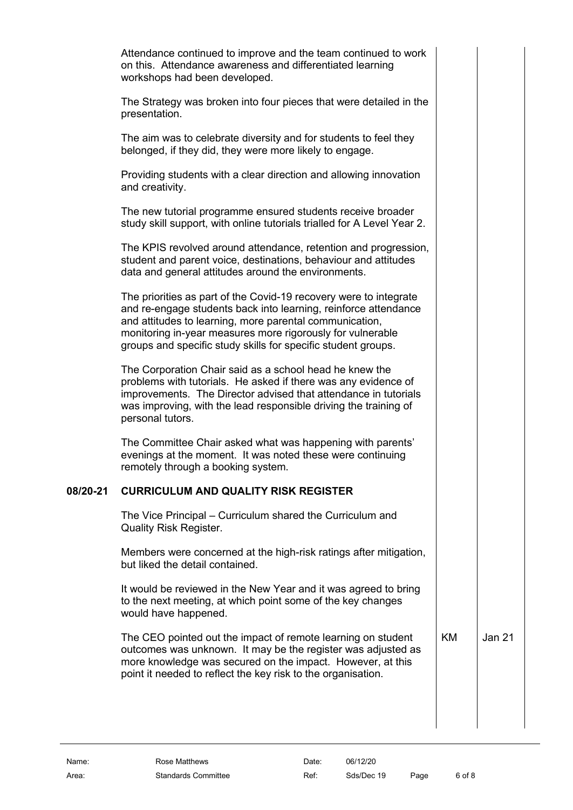Attendance continued to improve and the team continued to work on this. Attendance awareness and differentiated learning workshops had been developed.

The Strategy was broken into four pieces that were detailed in the presentation.

The aim was to celebrate diversity and for students to feel they belonged, if they did, they were more likely to engage.

Providing students with a clear direction and allowing innovation and creativity.

The new tutorial programme ensured students receive broader study skill support, with online tutorials trialled for A Level Year 2.

The KPIS revolved around attendance, retention and progression, student and parent voice, destinations, behaviour and attitudes data and general attitudes around the environments.

The priorities as part of the Covid-19 recovery were to integrate and re-engage students back into learning, reinforce attendance and attitudes to learning, more parental communication, monitoring in-year measures more rigorously for vulnerable groups and specific study skills for specific student groups.

The Corporation Chair said as a school head he knew the problems with tutorials. He asked if there was any evidence of improvements. The Director advised that attendance in tutorials was improving, with the lead responsible driving the training of personal tutors.

The Committee Chair asked what was happening with parents' evenings at the moment. It was noted these were continuing remotely through a booking system.

#### **08/20-21 CURRICULUM AND QUALITY RISK REGISTER**

<span id="page-5-0"></span>The Vice Principal – Curriculum shared the Curriculum and Quality Risk Register.

Members were concerned at the high-risk ratings after mitigation, but liked the detail contained.

It would be reviewed in the New Year and it was agreed to bring to the next meeting, at which point some of the key changes would have happened.

The CEO pointed out the impact of remote learning on student outcomes was unknown. It may be the register was adjusted as more knowledge was secured on the impact. However, at this point it needed to reflect the key risk to the organisation.

KM Jan 21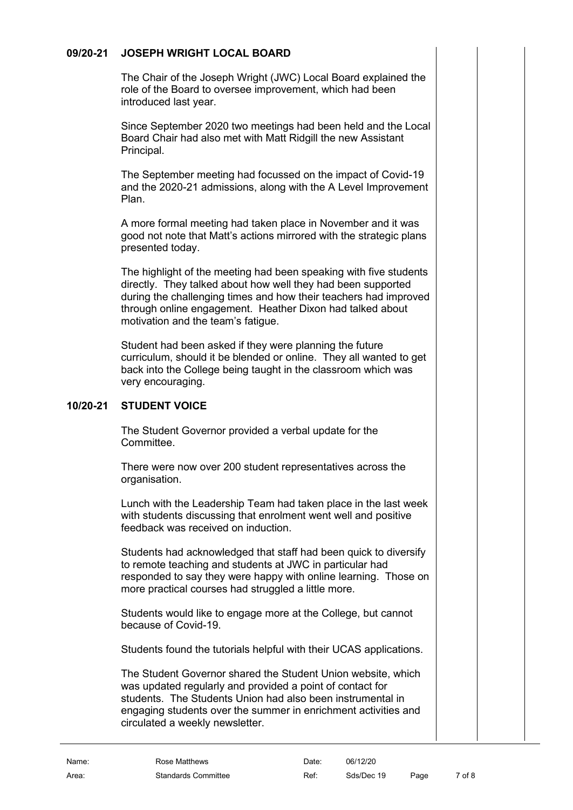### **09/20-21 JOSEPH WRIGHT LOCAL BOARD**

<span id="page-6-0"></span>The Chair of the Joseph Wright (JWC) Local Board explained the role of the Board to oversee improvement, which had been introduced last year.

Since September 2020 two meetings had been held and the Local Board Chair had also met with Matt Ridgill the new Assistant Principal.

The September meeting had focussed on the impact of Covid-19 and the 2020-21 admissions, along with the A Level Improvement Plan.

A more formal meeting had taken place in November and it was good not note that Matt's actions mirrored with the strategic plans presented today.

The highlight of the meeting had been speaking with five students directly. They talked about how well they had been supported during the challenging times and how their teachers had improved through online engagement. Heather Dixon had talked about motivation and the team's fatigue.

Student had been asked if they were planning the future curriculum, should it be blended or online. They all wanted to get back into the College being taught in the classroom which was very encouraging.

## **10/20-21 STUDENT VOICE**

<span id="page-6-1"></span>The Student Governor provided a verbal update for the Committee.

There were now over 200 student representatives across the organisation.

Lunch with the Leadership Team had taken place in the last week with students discussing that enrolment went well and positive feedback was received on induction.

Students had acknowledged that staff had been quick to diversify to remote teaching and students at JWC in particular had responded to say they were happy with online learning. Those on more practical courses had struggled a little more.

Students would like to engage more at the College, but cannot because of Covid-19.

Students found the tutorials helpful with their UCAS applications.

The Student Governor shared the Student Union website, which was updated regularly and provided a point of contact for students. The Students Union had also been instrumental in engaging students over the summer in enrichment activities and circulated a weekly newsletter.